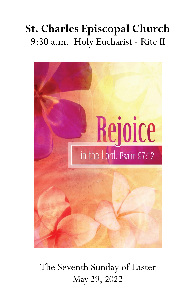# **St. Charles Episcopal Church** 9:30 a.m. Holy Eucharist - Rite II



The Seventh Sunday of Easter May 29, 2022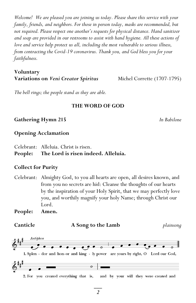*Welcome! We are pleased you are joining us today. Please share this service with your family, friends, and neighbors. For those in person today, masks are recommended, but not required. Please respect one another's requests for physical distance. Hand sanitizer and soap are provided in our restrooms to assist with hand hygiene. All these actions of love and service help protect us all, including the most vulnerable to serious illness, from contracting the Covid-19 coronavirus. Thank you, and God bless you for your faithfulness.*

## **Voluntary Variations on** *Veni Creator Spiritus* Michel Corrette (1707-1795)

*The bell rings; the people stand as they are able.* 

#### **THE WORD OF GOD**

#### **Gathering Hymn 215** *In Babilone*

### **Opening Acclamation**

Celebrant: Alleluia. Christ is risen.

# **People: The Lord is risen indeed. Alleluia.**

#### **Collect for Purity**

Celebrant: Almighty God, to you all hearts are open, all desires known, and from you no secrets are hid: Cleanse the thoughts of our hearts by the inspiration of your Holy Spirit, that we may perfectly love you, and worthily magnify your holy Name; through Christ our Lord.

**People: Amen.** 

**Canticle A Song to the Lamb** *plainsong*

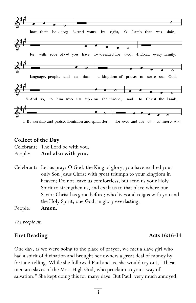

**Collect of the Day** 

Celebrant: The Lord be with you. People: **And also with you.** 

Celebrant: Let us pray: O God, the King of glory, you have exalted your only Son Jesus Christ with great triumph to your kingdom in heaven: Do not leave us comfortless, but send us your Holy Spirit to strengthen us, and exalt us to that place where our Savior Christ has gone before; who lives and reigns with you and the Holy Spirit, one God, in glory everlasting. People: **Amen.**

*The people sit.* 

## **First Reading**  Acts 16:16-34

One day, as we were going to the place of prayer, we met a slave girl who had a spirit of divination and brought her owners a great deal of money by fortune-telling. While she followed Paul and us, she would cry out, "These men are slaves of the Most High God, who proclaim to you a way of salvation." She kept doing this for many days. But Paul, very much annoyed,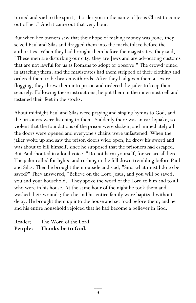turned and said to the spirit, "I order you in the name of Jesus Christ to come out of her." And it came out that very hour.

But when her owners saw that their hope of making money was gone, they seized Paul and Silas and dragged them into the marketplace before the authorities. When they had brought them before the magistrates, they said, "These men are disturbing our city; they are Jews and are advocating customs that are not lawful for us as Romans to adopt or observe." The crowd joined in attacking them, and the magistrates had them stripped of their clothing and ordered them to be beaten with rods. After they had given them a severe flogging, they threw them into prison and ordered the jailer to keep them securely. Following these instructions, he put them in the innermost cell and fastened their feet in the stocks.

About midnight Paul and Silas were praying and singing hymns to God, and the prisoners were listening to them. Suddenly there was an earthquake, so violent that the foundations of the prison were shaken; and immediately all the doors were opened and everyone's chains were unfastened. When the jailer woke up and saw the prison doors wide open, he drew his sword and was about to kill himself, since he supposed that the prisoners had escaped. But Paul shouted in a loud voice, "Do not harm yourself, for we are all here." The jailer called for lights, and rushing in, he fell down trembling before Paul and Silas. Then he brought them outside and said, "Sirs, what must I do to be saved?" They answered, "Believe on the Lord Jesus, and you will be saved, you and your household." They spoke the word of the Lord to him and to all who were in his house. At the same hour of the night he took them and washed their wounds; then he and his entire family were baptized without delay. He brought them up into the house and set food before them; and he and his entire household rejoiced that he had become a believer in God.

Reader: The Word of the Lord. **People: Thanks be to God.** 

> $\overline{\phantom{a}}$ *4*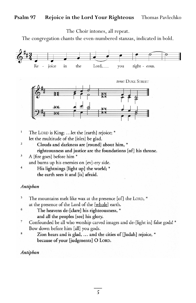#### **Psalm 97 Rejoice in the Lord Your Righteous** Thomas Pavlechko

The Choir intones, all repeat.

The congregation chants the even-numbered stanzas, indicated in bold.



- $\mathbf{1}$ The LORD is King; ... let the [earth] rejoice; \* let the multitude of the [isles] be glad.
	- Clouds and darkness are [round] about him, \* righteousness and justice are the foundations [of] his throne.
- $\overline{\mathbf{3}}$ A [fire goes] before him \*

and burns up his enemies on [ev]-ery side.

 $\overline{4}$ His lightnings [light up] the world; \* the earth sees it and [is] afraid.

#### Antiphon

 $\overline{\mathbf{2}}$ 

5 The mountains melt like wax at the presence [of] the LORD, \* at the presence of the Lord of the [whole] earth.

- $\epsilon$ The heavens de-[clare] his righteousness, \* and all the peoples [see] his glory.
- $\overline{\mathbf{7}}$ Confounded be all who worship carved images and de-[light in] false gods! \* Bow down before him [all] you gods.
- 8 Zion hears and is glad, ... and the cities of [Judah] rejoice, \* because of your [judgments] O LORD.

Antiphon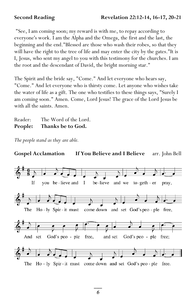"See, I am coming soon; my reward is with me, to repay according to everyone's work. I am the Alpha and the Omega, the first and the last, the beginning and the end."Blessed are those who wash their robes, so that they will have the right to the tree of life and may enter the city by the gates."It is I, Jesus, who sent my angel to you with this testimony for the churches. I am the root and the descendant of David, the bright morning star."

The Spirit and the bride say, "Come." And let everyone who hears say, "Come." And let everyone who is thirsty come. Let anyone who wishes take the water of life as a gift. The one who testifies to these things says, "Surely I am coming soon." Amen. Come, Lord Jesus! The grace of the Lord Jesus be with all the saints. Amen.

Reader: The Word of the Lord. **People: Thanks be to God.** 

*The people stand as they are able.* 

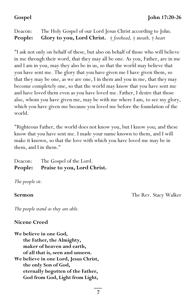Deacon: The Holy Gospel of our Lord Jesus Christ according to John. **People: Glory to you, Lord Christ.** † *forehead,* † *mouth,* † *heart* 

"I ask not only on behalf of these, but also on behalf of those who will believe in me through their word, that they may all be one. As you, Father, are in me and I am in you, may they also be in us, so that the world may believe that you have sent me. The glory that you have given me I have given them, so that they may be one, as we are one, I in them and you in me, that they may become completely one, so that the world may know that you have sent me and have loved them even as you have loved me. Father, I desire that those also, whom you have given me, may be with me where I am, to see my glory, which you have given me because you loved me before the foundation of the world.

"Righteous Father, the world does not know you, but I know you; and these know that you have sent me. I made your name known to them, and I will make it known, so that the love with which you have loved me may be in them, and I in them."

Deacon: The Gospel of the Lord. **People: Praise to you, Lord Christ.** 

*The people sit.*

**Sermon** The Rev. Stacy Walker

*The people stand as they are able.* 

## **Nicene Creed**

**We believe in one God, the Father, the Almighty, maker of heaven and earth, of all that is, seen and unseen. We believe in one Lord, Jesus Christ, the only Son of God, eternally begotten of the Father, God from God, Light from Light,**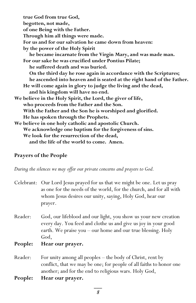**true God from true God, begotten, not made, of one Being with the Father. Through him all things were made. For us and for our salvation he came down from heaven: by the power of the Holy Spirit he became incarnate from the Virgin Mary, and was made man. For our sake he was crucified under Pontius Pilate; he suffered death and was buried. On the third day he rose again in accordance with the Scriptures; he ascended into heaven and is seated at the right hand of the Father. He will come again in glory to judge the living and the dead, and his kingdom will have no end. We believe in the Holy Spirit, the Lord, the giver of life, who proceeds from the Father and the Son. With the Father and the Son he is worshiped and glorified. He has spoken through the Prophets. We believe in one holy catholic and apostolic Church. We acknowledge one baptism for the forgiveness of sins. We look for the resurrection of the dead, and the life of the world to come. Amen.**

## **Prayers of the People**

*During the silences we may offer our private concerns and prayers to God.* 

| Celebrant: Our Lord Jesus prayed for us that we might be one. Let us pray |
|---------------------------------------------------------------------------|
| as one for the needs of the world, for the church, and for all with       |
| whom Jesus desires our unity, saying, Holy God, hear our                  |
| prayer.                                                                   |

- Reader: God, our lifeblood and our light, you show us your new creation every day. You feed and clothe us and give us joy in your good earth. We praise you – our home and our true blessing. Holy God,
- **People: Hear our prayer.**
- Reader: For unity among all peoples the body of Christ, rent by conflict, that we may be one; for people of all faiths to honor one another; and for the end to religious wars. Holy God,
- **People: Hear our prayer.**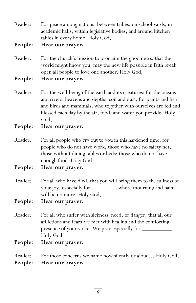| Reader: | For peace among nations, between tribes, on school yards, in  |
|---------|---------------------------------------------------------------|
|         | academic halls, within legislative bodies, and around kitchen |
|         | tables in every home. Holy God,                               |

**People: Hear our prayer.**

Reader: For the church's mission to proclaim the good news, that the world might know you; may the new life possible in faith break open all people to love one another. Holy God,

**People: Hear our prayer.**

- Reader: For the well-being of the earth and its creatures; for the oceans and rivers, heavens and depths, soil and dust; for plants and fish and birds and mammals, who together with ourselves are fed and blessed each day by the air, food, and water you provide. Holy God,
- **People: Hear our prayer.**
- Reader: For all people who cry out to you in this hardened time; for people who do not have work, those who have no safety net; those without dining tables or beds; those who do not have enough food. Holy God,
- **People: Hear our prayer.**
- Reader: For all who have died, that you will bring them to the fullness of your joy, especially for \_\_\_\_\_\_\_\_, where mourning and pain will be no more. Holy God,
- **People: Hear our prayer.**
- Reader: For all who suffer with sickness, need, or danger, that all our afflictions and fears are met with healing and the comforting presence of your voice. We pray especially for \_ Holy God,
- **People: Hear our prayer.**

Reader: For those concerns we name now silently or aloud... Holy God, **People: Hear our prayer.**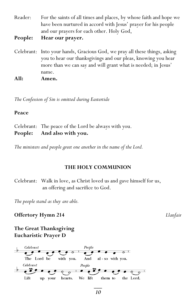Reader: For the saints of all times and places, by whose faith and hope we have been nurtured in accord with Jesus' prayer for his people and our prayers for each other. Holy God,

**People: Hear our prayer.**

Celebrant: Into your hands, Gracious God, we pray all these things, asking you to hear our thanksgivings and our pleas, knowing you hear more than we can say and will grant what is needed; in Jesus' name. **All: Amen.**

*The Confession of Sin is omitted during Eastertide*

#### **Peace**

Celebrant: The peace of the Lord be always with you. **People: And also with you.** 

*The ministers and people greet one another in the name of the Lord.* 

#### **THE HOLY COMMUNION**

Celebrant: Walk in love, as Christ loved us and gave himself for us, an offering and sacrifice to God.

*The people stand as they are able.* 

**Offertory Hymn 214** *Llanfair*

**The Great Thanksgiving Eucharistic Prayer D**

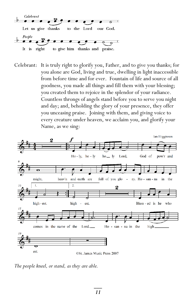

Celebrant: It is truly right to glorify you, Father, and to give you thanks; for you alone are God, living and true, dwelling in light inaccessible from before time and for ever. Fountain of life and source of all goodness, you made all things and fill them with your blessing; you created them to rejoice in the splendor of your radiance. Countless throngs of angels stand before you to serve you night and day; and, beholding the glory of your presence, they offer you unceasing praise. Joining with them, and giving voice to every creature under heaven, we acclaim you, and glorify your Name, as we sing:



*The people kneel, or stand, as they are able.*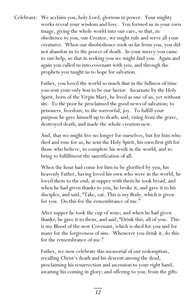Celebrant: We acclaim you, holy Lord, glorious in power. Your mighty works reveal your wisdom and love. You formed us in your own image, giving the whole world into our care, so that, in obedience to you, our Creator, we might rule and serve all your creatures. When our disobedience took us far from you, you did not abandon us to the power of death. In your mercy you came to our help, so that in seeking you we might find you. Again and again you called us into covenant with you, and through the prophets you taught us to hope for salvation.

> Father, you loved the world so much that in the fullness of time you sent your only Son to be our Savior. Incarnate by the Holy Spirit, born of the Virgin Mary, he lived as one of us, yet without sin. To the poor he proclaimed the good news of salvation; to prisoners, freedom; to the sorrowful, joy. To fulfill your purpose he gave himself up to death; and, rising from the grave, destroyed death, and made the whole creation new.

> And, that we might live no longer for ourselves, but for him who died and rose for us, he sent the Holy Spirit, his own first gift for those who believe, to complete his work in the world, and to bring to fulfillment the sanctification of all.

> When the hour had come for him to be glorified by you, his heavenly Father, having loved his own who were in the world, he loved them to the end; at supper with them he took bread, and when he had given thanks to you, he broke it, and gave it to his disciples, and said, "Take, eat: This is my Body, which is given for you. Do this for the remembrance of me."

> After supper he took the cup of wine; and when he had given thanks, he gave it to them, and said, "Drink this, all of you. This is my Blood of the new Covenant, which is shed for you and for many for the forgiveness of sins. Whenever you drink it, do this for the remembrance of me."

Father, we now celebrate this memorial of our redemption, recalling Christ's death and his descent among the dead, proclaiming his resurrection and ascension to your right hand, awaiting his coming in glory; and offering to you, from the gifts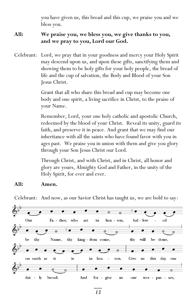you have given us, this bread and this cup, we praise you and we bless you.

# **All: We praise you, we bless you, we give thanks to you, and we pray to you, Lord our God.**

Celebrant: Lord, we pray that in your goodness and mercy your Holy Spirit may descend upon us, and upon these gifts, sanctifying them and showing them to be holy gifts for your holy people, the bread of life and the cup of salvation, the Body and Blood of your Son Jesus Christ.

> Grant that all who share this bread and cup may become one body and one spirit, a living sacrifice in Christ, to the praise of your Name.

Remember, Lord, your one holy catholic and apostolic Church, redeemed by the blood of your Christ. Reveal its unity, guard its faith, and preserve it in peace. And grant that we may find our inheritance with all the saints who have found favor with you in ages past. We praise you in union with them and give you glory through your Son Jesus Christ our Lord.

Through Christ, and with Christ, and in Christ, all honor and glory are yours, Almighty God and Father, in the unity of the Holy Spirit, for ever and ever.

# **All: Amen.**

Celebrant: And now, as our Savior Christ has taught us, we are bold to say:

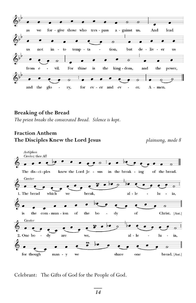

#### **Breaking of the Bread**

*The priest breaks the consecrated Bread. Silence is kept.* 

# **Fraction Anthem The Disciples Knew the Lord Jesus** *plainsong, mode 8*



Celebrant: The Gifts of God for the People of God.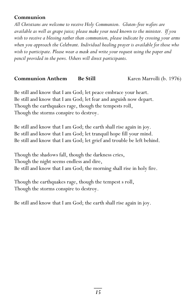# **Communion**

*All Christians are welcome to receive Holy Communion. Gluten-free wafers are available as well as grape juice; please make your need known to the minister. If you wish to receive a blessing rather than communion, please indicate by crossing your arms when you approach the Celebrant. Individual healing prayer is available for those who wish to participate. Please wear a mask and write your request using the paper and pencil provided in the pews. Ushers will direct participants.*

# **Communion Anthem Be Still Karen Marrolli (b. 1976)**

Be still and know that I am God; let peace embrace your heart. Be still and know that I am God; let fear and anguish now depart. Though the earthquakes rage, though the tempests roll, Though the storms conspire to destroy.

Be still and know that I am God; the earth shall rise again in joy. Be still and know that I am God; let tranquil hope fill your mind. Be still and know that I am God; let grief and trouble be left behind.

Though the shadows fall, though the darkness cries, Though the night seems endless and dire, Be still and know that I am God; the morning shall rise in holy fire.

Though the earthquakes rage, though the tempest s roll, Though the storms conspire to destroy.

Be still and know that I am God; the earth shall rise again in joy.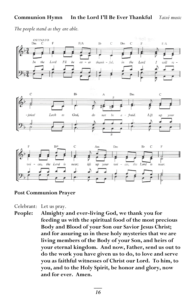# **Communion Hymn In the Lord I'll Be Ever Thankful** *Taizé music*

*The people stand as they are able.*







#### **Post Communion Prayer**

Celebrant: Let us pray.

**People: Almighty and ever-living God, we thank you for feeding us with the spiritual food of the most precious Body and Blood of your Son our Savior Jesus Christ; and for assuring us in these holy mysteries that we are living members of the Body of your Son, and heirs of your eternal kingdom. And now, Father, send us out to do the work you have given us to do, to love and serve you as faithful witnesses of Christ our Lord. To him, to you, and to the Holy Spirit, be honor and glory, now and for ever. Amen.**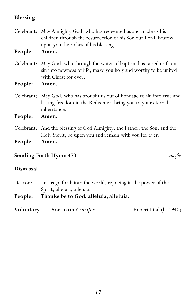# **Blessing**

| People: | Celebrant: May Almighty God, who has redeemed us and made us his<br>children through the resurrection of his Son our Lord, bestow<br>upon you the riches of his blessing.<br>Amen. |
|---------|------------------------------------------------------------------------------------------------------------------------------------------------------------------------------------|
|         | Celebrant: May God, who through the water of baptism has raised us from<br>sin into newness of life, make you holy and worthy to be united<br>with Christ for ever.                |
| People: | Amen.                                                                                                                                                                              |
|         | Celebrant: May God, who has brought us out of bondage to sin into true and<br>lasting freedom in the Redeemer, bring you to your eternal<br>inheritance.                           |
| People: | Amen.                                                                                                                                                                              |
|         | Celebrant: And the blessing of God Almighty, the Father, the Son, and the<br>Holy Spirit, be upon you and remain with you for ever.                                                |
| People: | Amen.                                                                                                                                                                              |

# **Sending Forth Hymn 473** *Crucifer*

# **Dismissal**

| Deacon: | Let us go forth into the world, rejoicing in the power of the |  |
|---------|---------------------------------------------------------------|--|
|         | Spirit, alleluia, alleluia.                                   |  |
| People: | Thanks be to God, alleluia, alleluia.                         |  |
|         |                                                               |  |

| Voluntary | Sortie on Crucifer | Robert Lind (b. 1940) |
|-----------|--------------------|-----------------------|
|-----------|--------------------|-----------------------|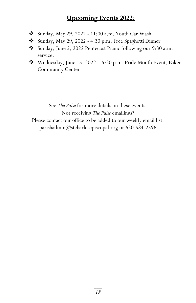# **Upcoming Events 2022**:

- ❖ Sunday, May 29, 2022 11:00 a.m. Youth Car Wash
- ❖ Sunday, May 29, 2022 4:30 p.m. Free Spaghetti Dinner
- ❖ Sunday, June 5, 2022 Pentecost Picnic following our 9:30 a.m. service.
- ❖ Wednesday, June 15, 2022 5:30 p.m. Pride Month Event, Baker Community Center

See *The Pulse* for more details on these events. Not receiving *The Pulse* emailings?

Please contact our office to be added to our weekly email list:

[parishadmin@stcharlesepiscopal.org](mailto:parishadmin@stcharlesepiscopal.org) or 630-584-2596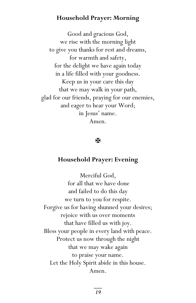# **Household Prayer: Morning**

Good and gracious God, we rise with the morning light to give you thanks for rest and dreams, for warmth and safety, for the delight we have again today in a life filled with your goodness. Keep us in your care this day that we may walk in your path, glad for our friends, praying for our enemies, and eager to hear your Word; in Jesus' name. Amen.

# Ж

#### **Household Prayer: Evening**

Merciful God, for all that we have done and failed to do this day we turn to you for respite. Forgive us for having shunned your desires; rejoice with us over moments that have filled us with joy. Bless your people in every land with peace. Protect us now through the night that we may wake again to praise your name. Let the Holy Spirit abide in this house. Amen.